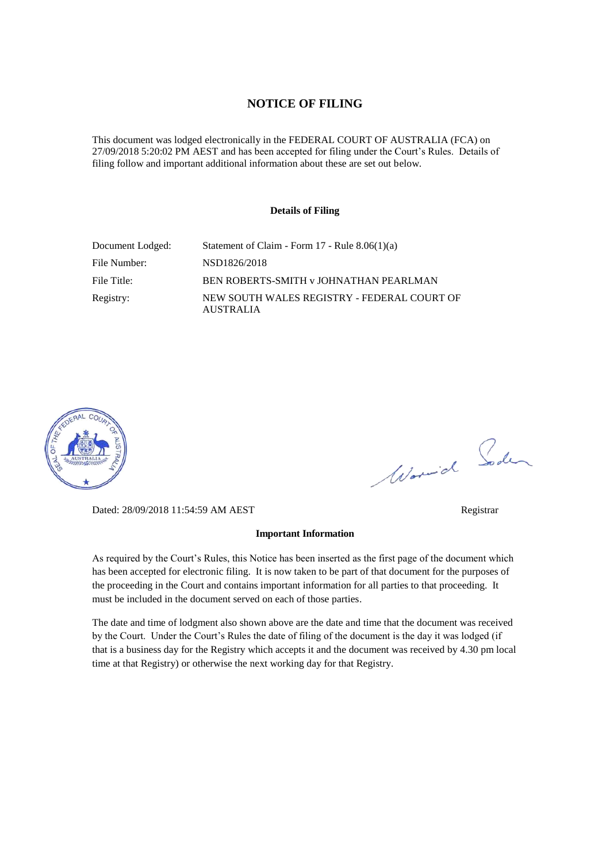#### **NOTICE OF FILING**

This document was lodged electronically in the FEDERAL COURT OF AUSTRALIA (FCA) on 27/09/2018 5:20:02 PM AEST and has been accepted for filing under the Court's Rules. Details of filing follow and important additional information about these are set out below.

#### **Details of Filing**

| Document Lodged: | Statement of Claim - Form 17 - Rule 8.06(1)(a)                  |
|------------------|-----------------------------------------------------------------|
| File Number:     | NSD1826/2018                                                    |
| File Title:      | BEN ROBERTS-SMITH V JOHNATHAN PEARLMAN                          |
| Registry:        | NEW SOUTH WALES REGISTRY - FEDERAL COURT OF<br><b>AUSTRALIA</b> |



Worwich Soden

Dated: 28/09/2018 11:54:59 AM AEST Registrar

#### **Important Information**

As required by the Court's Rules, this Notice has been inserted as the first page of the document which has been accepted for electronic filing. It is now taken to be part of that document for the purposes of the proceeding in the Court and contains important information for all parties to that proceeding. It must be included in the document served on each of those parties.

The date and time of lodgment also shown above are the date and time that the document was received by the Court. Under the Court's Rules the date of filing of the document is the day it was lodged (if that is a business day for the Registry which accepts it and the document was received by 4.30 pm local time at that Registry) or otherwise the next working day for that Registry.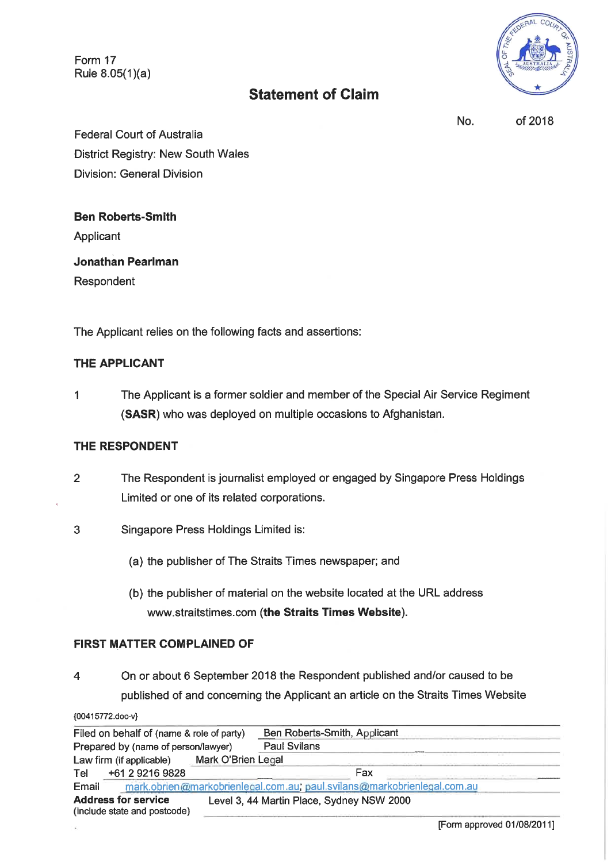Form 17 Rule 8.05(1)(a)

### **Statement of Claim**



No.

of 2018

**Federal Court of Australia** District Registry: New South Wales **Division: General Division** 

**Ben Roberts-Smith** Applicant

**Jonathan Pearlman** 

Respondent

The Applicant relies on the following facts and assertions:

#### THE APPLICANT

The Applicant is a former soldier and member of the Special Air Service Regiment  $\mathbf{1}$ (SASR) who was deployed on multiple occasions to Afghanistan.

#### THE RESPONDENT

- $\overline{2}$ The Respondent is journalist employed or engaged by Singapore Press Holdings Limited or one of its related corporations.
- 3 Singapore Press Holdings Limited is:
	- (a) the publisher of The Straits Times newspaper; and
	- (b) the publisher of material on the website located at the URL address www.straitstimes.com (the Straits Times Website).

#### **FIRST MATTER COMPLAINED OF**

**MA415772 doo vil** 

On or about 6 September 2018 the Respondent published and/or caused to be  $\overline{4}$ published of and concerning the Applicant an article on the Straits Times Website

| mark.obrien@markobrienlegal.com.au; paul.svilans@markobrienlegal.com.au |
|-------------------------------------------------------------------------|
|                                                                         |
|                                                                         |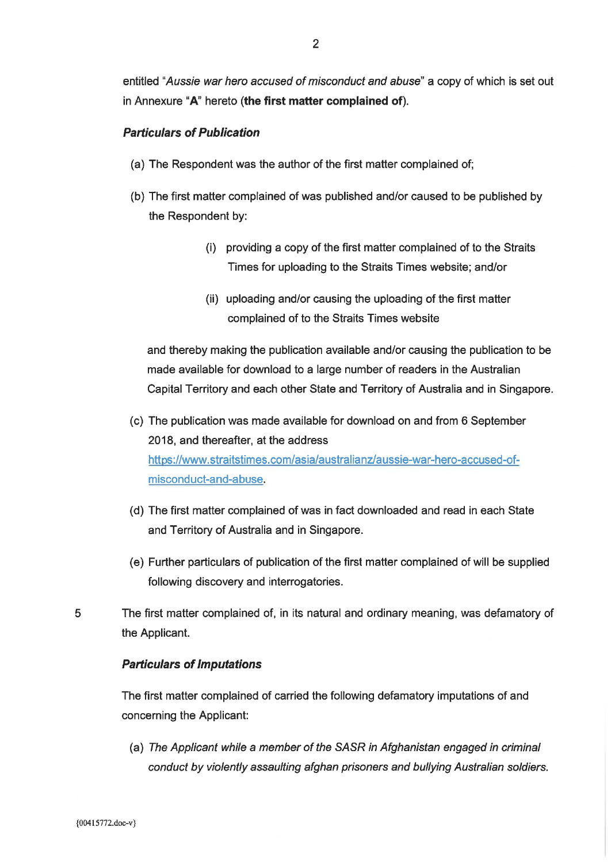entitled "Aussie war hero accused of misconduct and abuse" a copy of which is set out in Annexure "A" hereto (the first matter complained of).

#### **Particulars of Publication**

- (a) The Respondent was the author of the first matter complained of;
- (b) The first matter complained of was published and/or caused to be published by the Respondent by:
	- (i) providing a copy of the first matter complained of to the Straits Times for uploading to the Straits Times website; and/or
	- (ii) uploading and/or causing the uploading of the first matter complained of to the Straits Times website

and thereby making the publication available and/or causing the publication to be made available for download to a large number of readers in the Australian Capital Territory and each other State and Territory of Australia and in Singapore.

- (c) The publication was made available for download on and from 6 September 2018, and thereafter, at the address https://www.straitstimes.com/asia/australianz/aussie-war-hero-accused-ofmisconduct-and-abuse.
- (d) The first matter complained of was in fact downloaded and read in each State and Territory of Australia and in Singapore.
- (e) Further particulars of publication of the first matter complained of will be supplied following discovery and interrogatories.
- 5 The first matter complained of, in its natural and ordinary meaning, was defamatory of the Applicant.

#### **Particulars of Imputations**

The first matter complained of carried the following defamatory imputations of and concerning the Applicant:

(a) The Applicant while a member of the SASR in Afghanistan engaged in criminal conduct by violently assaulting afghan prisoners and bullying Australian soldiers.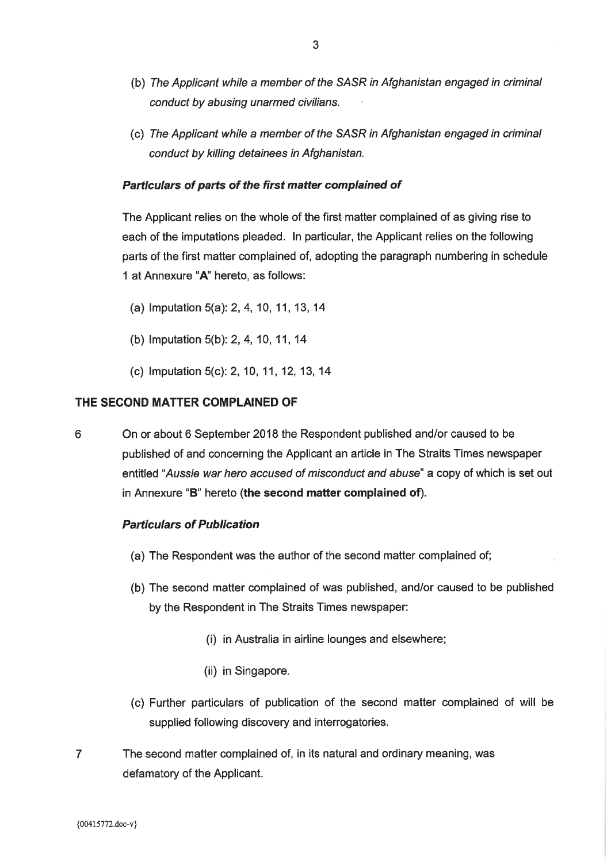- (b) The Applicant while a member of the SASR in Afghanistan engaged in criminal conduct by abusing unarmed civilians.
- (c) The Applicant while a member of the SASR in Afghanistan engaged in criminal conduct by killing detainees in Afghanistan.

#### Particulars of parts of the first matter complained of

The Applicant relies on the whole of the first matter complained of as giving rise to each of the imputations pleaded. In particular, the Applicant relies on the following parts of the first matter complained of, adopting the paragraph numbering in schedule 1 at Annexure "A" hereto, as follows:

- (a) Imputation 5(a): 2, 4, 10, 11, 13, 14
- (b) Imputation 5(b): 2, 4, 10, 11, 14
- (c) Imputation 5(c): 2, 10, 11, 12, 13, 14

#### THE SECOND MATTER COMPLAINED OF

6 On or about 6 September 2018 the Respondent published and/or caused to be published of and concerning the Applicant an article in The Straits Times newspaper entitled "Aussie war hero accused of misconduct and abuse" a copy of which is set out in Annexure "B" hereto (the second matter complained of).

#### **Particulars of Publication**

- (a) The Respondent was the author of the second matter complained of;
- (b) The second matter complained of was published, and/or caused to be published by the Respondent in The Straits Times newspaper:
	- (i) in Australia in airline lounges and elsewhere;
	- (ii) in Singapore.
- (c) Further particulars of publication of the second matter complained of will be supplied following discovery and interrogatories.
- $\overline{7}$ The second matter complained of, in its natural and ordinary meaning, was defamatory of the Applicant.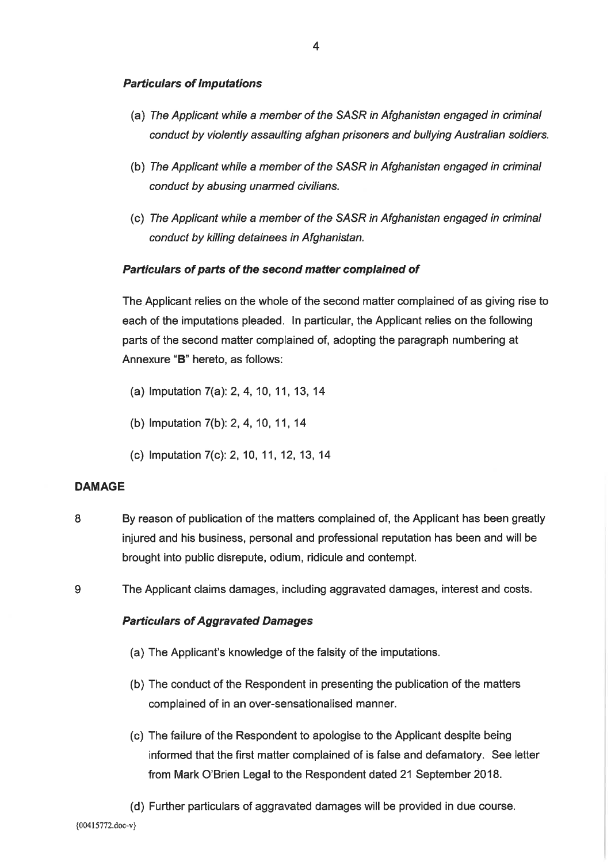#### **Particulars of Imputations**

- (a) The Applicant while a member of the SASR in Afghanistan engaged in criminal conduct by violently assaulting afghan prisoners and bullying Australian soldiers.
- (b) The Applicant while a member of the SASR in Afghanistan engaged in criminal conduct by abusing unarmed civilians.
- (c) The Applicant while a member of the SASR in Afghanistan engaged in criminal conduct by killing detainees in Afghanistan.

#### Particulars of parts of the second matter complained of

The Applicant relies on the whole of the second matter complained of as giving rise to each of the imputations pleaded. In particular, the Applicant relies on the following parts of the second matter complained of, adopting the paragraph numbering at Annexure "B" hereto, as follows:

- (a) Imputation 7(a): 2, 4, 10, 11, 13, 14
- (b) Imputation 7(b): 2, 4, 10, 11, 14
- (c) Imputation 7(c): 2, 10, 11, 12, 13, 14

#### **DAMAGE**

- 8 By reason of publication of the matters complained of, the Applicant has been greatly injured and his business, personal and professional reputation has been and will be brought into public disrepute, odium, ridicule and contempt.
- $9$ The Applicant claims damages, including aggravated damages, interest and costs.

#### **Particulars of Aggravated Damages**

- (a) The Applicant's knowledge of the falsity of the imputations.
- (b) The conduct of the Respondent in presenting the publication of the matters complained of in an over-sensationalised manner.
- (c) The failure of the Respondent to apologise to the Applicant despite being informed that the first matter complained of is false and defamatory. See letter from Mark O'Brien Legal to the Respondent dated 21 September 2018.
- (d) Further particulars of aggravated damages will be provided in due course.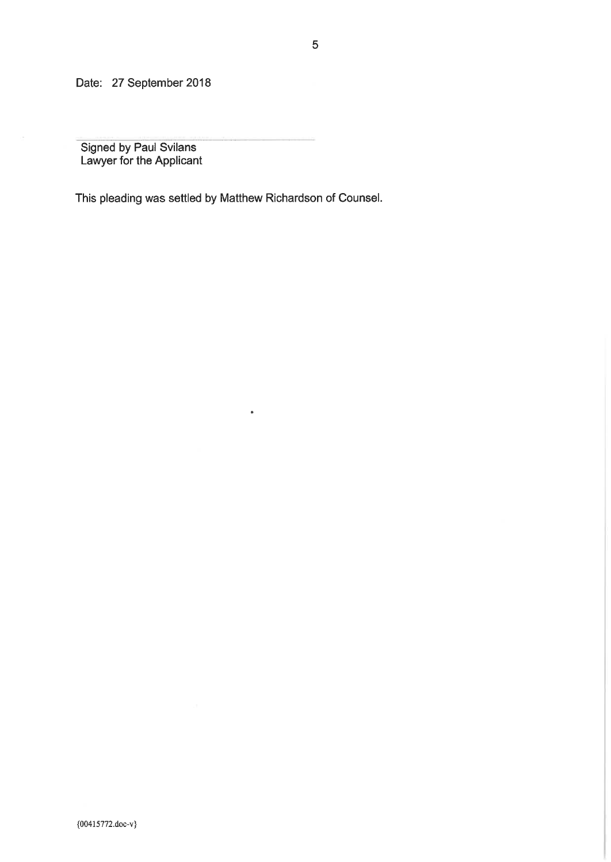Date: 27 September 2018

Signed by Paul Svilans<br>Lawyer for the Applicant

This pleading was settled by Matthew Richardson of Counsel.

 $\hat{\mathbf{a}}$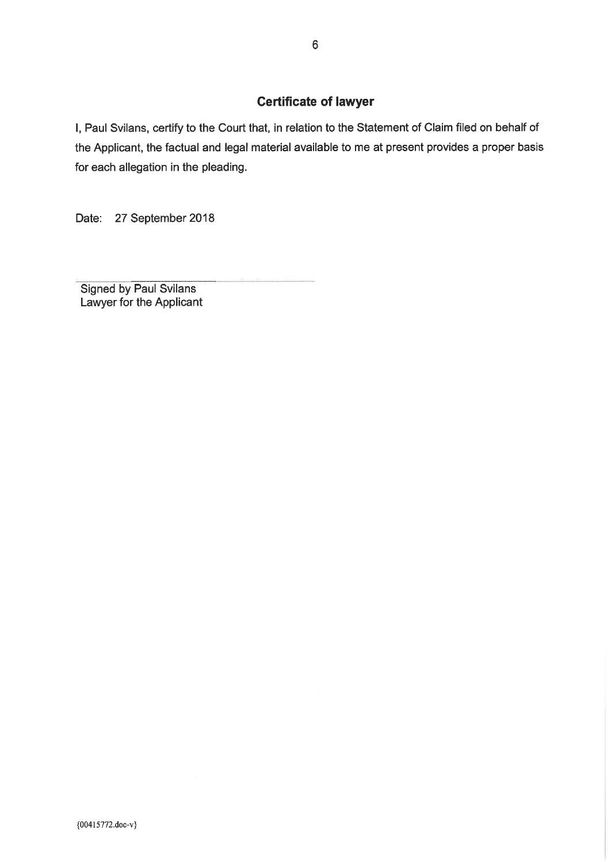#### **Certificate of lawyer**

I, Paul Svilans, certify to the Court that, in relation to the Statement of Claim filed on behalf of the Applicant, the factual and legal material available to me at present provides a proper basis for each allegation in the pleading.

Date: 27 September 2018

**Signed by Paul Svilans** Lawyer for the Applicant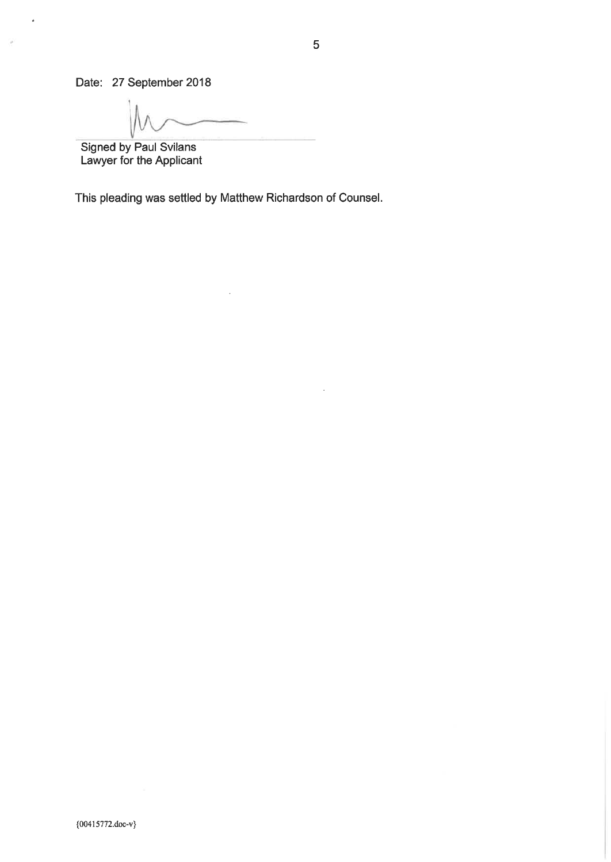Date: 27 September 2018

 $\hat{\boldsymbol{\theta}}$ 

ng.

Signed by Paul Svilans<br>Lawyer for the Applicant

This pleading was settled by Matthew Richardson of Counsel.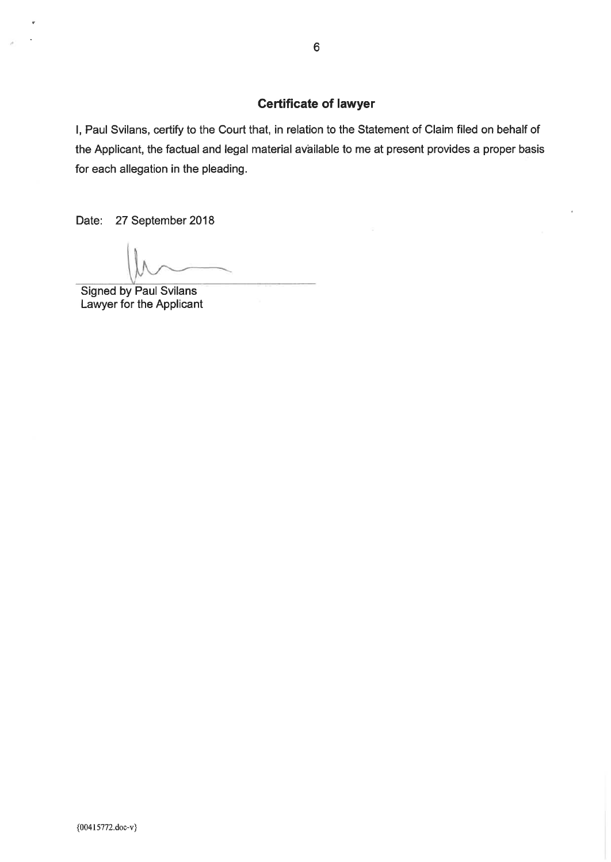## **Certificate of lawyer**

I, Paul Svilans, certify to the Court that, in relation to the Statement of Claim filed on behalf of the Applicant, the factual and legal material available to me at present provides a proper basis for each allegation in the pleading.

Date: 27 September 2018

**Signed by Paul Svilans** Lawyer for the Applicant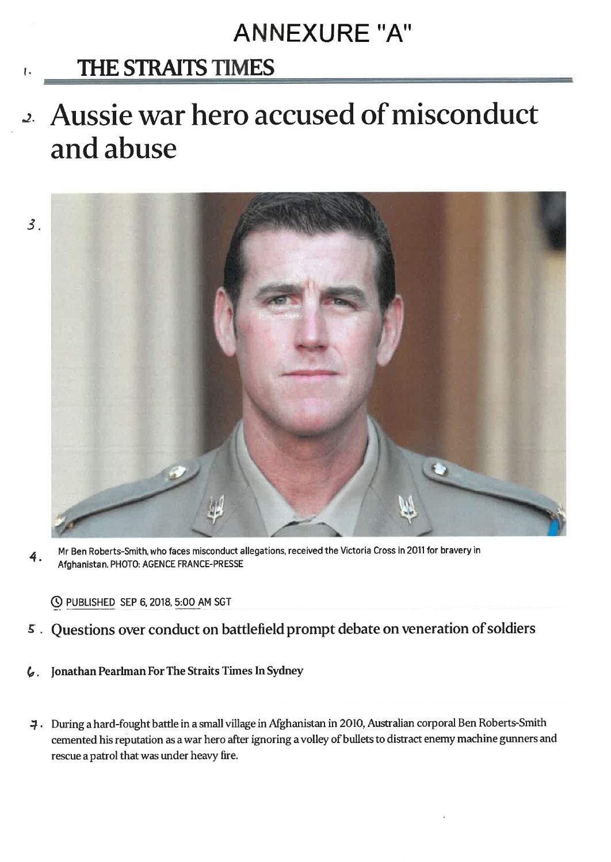# **ANNEXURE "A"**

## **THE STRAITS TIMES**

# 2. Aussie war hero accused of misconduct and abuse





Mr Ben Roberts-Smith, who faces misconduct allegations, received the Victoria Cross in 2011 for bravery in 4. Afghanistan. PHOTO: AGENCE FRANCE-PRESSE

© PUBLISHED SEP 6, 2018, 5:00 AM SGT

- 5. Questions over conduct on battlefield prompt debate on veneration of soldiers
- Jonathan Pearlman For The Straits Times In Sydney  $\mathcal{L}.$
- 4. During a hard-fought battle in a small village in Afghanistan in 2010, Australian corporal Ben Roberts-Smith cemented his reputation as a war hero after ignoring a volley of bullets to distract enemy machine gunners and rescue a patrol that was under heavy fire.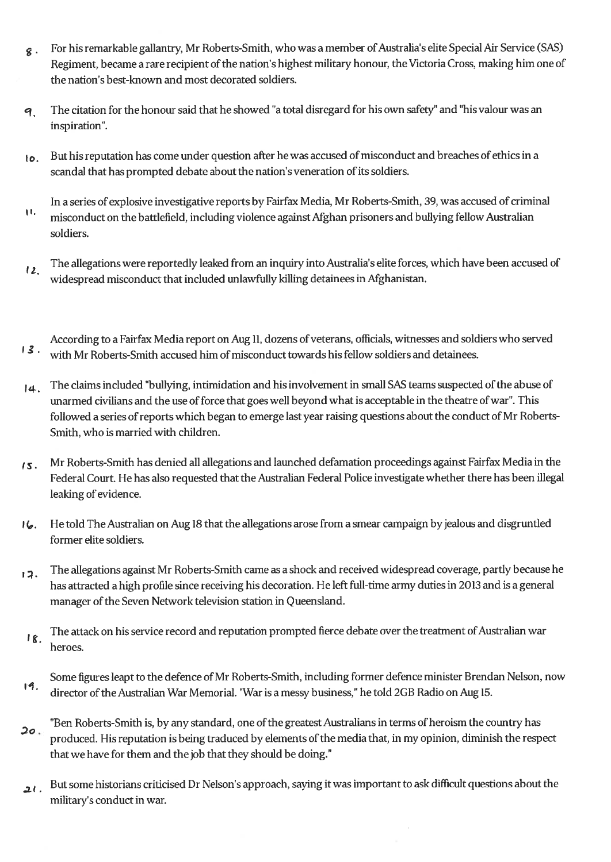- For his remarkable gallantry, Mr Roberts-Smith, who was a member of Australia's elite Special Air Service (SAS)  $\hat{\mathbf{x}}$ . Regiment, became a rare recipient of the nation's highest military honour, the Victoria Cross, making him one of the nation's best-known and most decorated soldiers.
- The citation for the honour said that he showed "a total disregard for his own safety" and "his valour was an 9. inspiration".
- But his reputation has come under question after he was accused of misconduct and breaches of ethics in a to. scandal that has prompted debate about the nation's veneration of its soldiers.
- In a series of explosive investigative reports by Fairfax Media, Mr Roberts-Smith, 39, was accused of criminal Ħ. misconduct on the battlefield, including violence against Afghan prisoners and bullying fellow Australian soldiers.
- The allegations were reportedly leaked from an inquiry into Australia's elite forces, which have been accused of  $12.$ widespread misconduct that included unlawfully killing detainees in Afghanistan.
- According to a Fairfax Media report on Aug 11, dozens of veterans, officials, witnesses and soldiers who served  $13.$ with Mr Roberts-Smith accused him of misconduct towards his fellow soldiers and detainees.
- The claims included "bullying, intimidation and his involvement in small SAS teams suspected of the abuse of  $14.$ unarmed civilians and the use of force that goes well beyond what is acceptable in the theatre of war". This followed a series of reports which began to emerge last year raising questions about the conduct of Mr Roberts-Smith, who is married with children.
- Mr Roberts-Smith has denied all allegations and launched defamation proceedings against Fairfax Media in the  $15.$ Federal Court. He has also requested that the Australian Federal Police investigate whether there has been illegal leaking of evidence.
- He told The Australian on Aug 18 that the allegations arose from a smear campaign by jealous and disgruntled  $16.$ former elite soldiers.
- The allegations against Mr Roberts-Smith came as a shock and received widespread coverage, partly because he  $17.$ has attracted a high profile since receiving his decoration. He left full-time army duties in 2013 and is a general manager of the Seven Network television station in Queensland.
- The attack on his service record and reputation prompted fierce debate over the treatment of Australian war 18. heroes.
- Some figures leapt to the defence of Mr Roberts-Smith, including former defence minister Brendan Nelson, now 19. director of the Australian War Memorial. "War is a messy business," he told 2GB Radio on Aug 15.
- "Ben Roberts-Smith is, by any standard, one of the greatest Australians in terms of heroism the country has  $20.$ produced. His reputation is being traduced by elements of the media that, in my opinion, diminish the respect that we have for them and the job that they should be doing."
- But some historians criticised Dr Nelson's approach, saying it was important to ask difficult questions about the  $2l.$ military's conduct in war.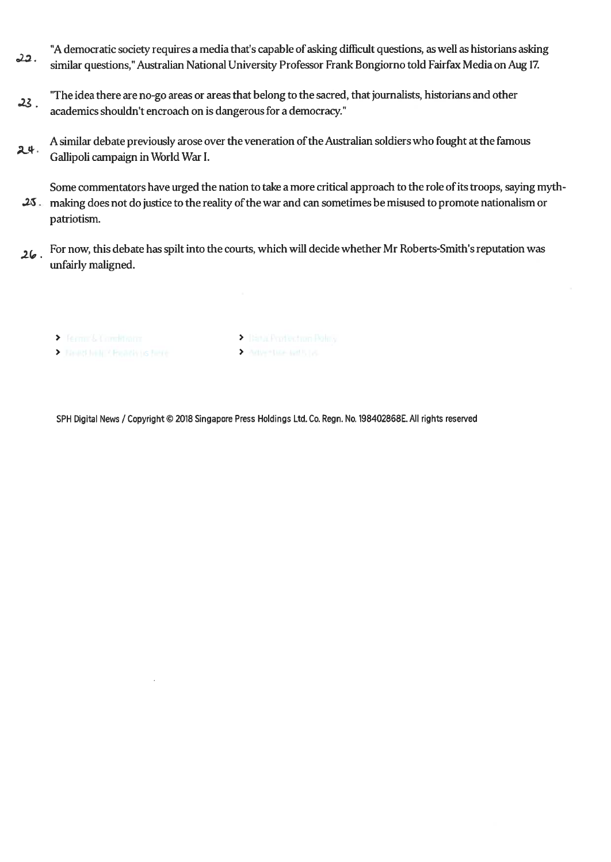- "A democratic society requires a media that's capable of asking difficult questions, as well as historians asking 22. similar questions," Australian National University Professor Frank Bongiorno told Fairfax Media on Aug 17.
- "The idea there are no-go areas or areas that belong to the sacred, that journalists, historians and other  $23.$ academics shouldn't encroach on is dangerous for a democracy."
- A similar debate previously arose over the veneration of the Australian soldiers who fought at the famous 24. Gallipoli campaign in World War I.

Some commentators have urged the nation to take a more critical approach to the role of its troops, saying myth-25 making does not do justice to the reality of the war and can sometimes be misused to promote nationalism or patriotism.

- For now, this debate has spilt into the courts, which will decide whether Mr Roberts-Smith's reputation was  $26.$ unfairly maligned.
	-
	- ▶ Ferms&Comittatin<br>▶ JankDelt / Freach tis finite
- > Dirta: Profection Policy Advertise to City
- 

SPH Digital News / Copyright © 2018 Singapore Press Holdings Ltd. Co. Regn. No. 198402868E. All rights reserved